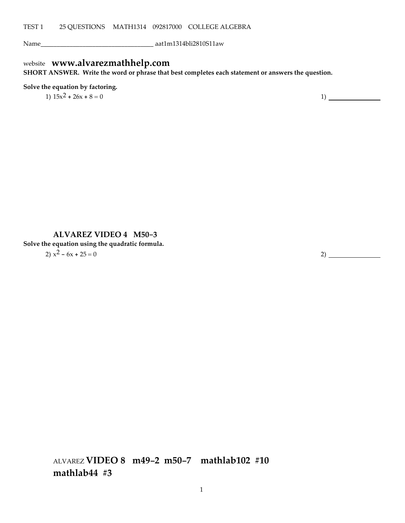Name\_\_\_\_\_\_\_\_\_\_\_\_\_\_\_\_\_\_\_\_\_\_\_\_\_\_\_\_\_\_\_\_\_\_\_ aat1m1314bli2810S11aw

# website **www.alvarezmathhelp.com**

**SHORT ANSWER. Write the word or phrase that best completes each statement or answers the question.**

### **Solve the equation by factoring.**

1)  $15x^2 + 26x + 8 = 0$  1)

### **ALVAREZ VIDEO 4 M50-3**

**Solve the equation using the quadratic formula.**

2)  $x^2 - 6x + 25 = 0$  2)

ALVAREZ **VIDEO 8 m49-2 m50-7 mathlab102 #10 mathlab44 #3**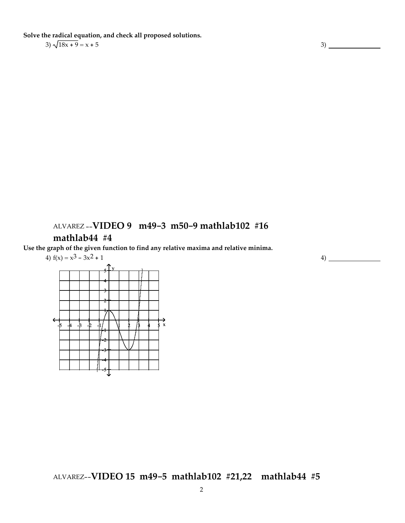**Solve the radical equation, and check all proposed solutions.**

## $3) \frac{\sqrt{18x + 9}}{2x + 5} = x + 5$  3)

## ALVAREZ --**VIDEO 9 m49-3 m50-9 mathlab102 #16**

## **mathlab44 #4**

**Use the graph of the given function to find any relative maxima and relative minima.**

4) 
$$
f(x) = x^3 - 3x^2 + 1
$$

4)

## ALVAREZ--**VIDEO 15 m49-5 mathlab102 #21,22 mathlab44 #5**

-5 -4 -3 -2 -1 1 2 3 4 5 x 2 1 -1 -2 -3 -4 -5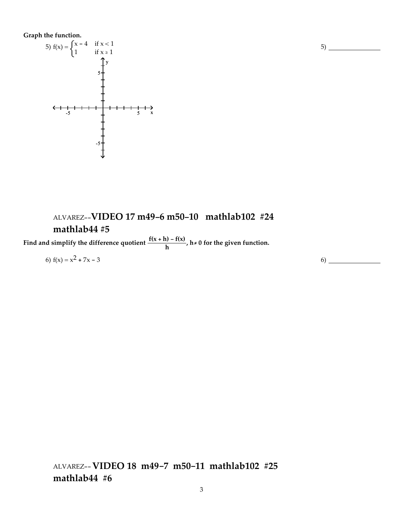### **Graph the function.**



## ALVAREZ--**VIDEO 17 m49-6 m50-10 mathlab102 #24 mathlab44 #5**

**Find** and simplify the difference quotient  $\frac{f(x+h) - f(x)}{h}$ ,  $h \neq 0$  for the given function.

$$
6) f(x) = x^2 + 7x - 3
$$

ALVAREZ--**VIDEO 18 m49-7 m50-11 mathlab102 #25 mathlab44 #6**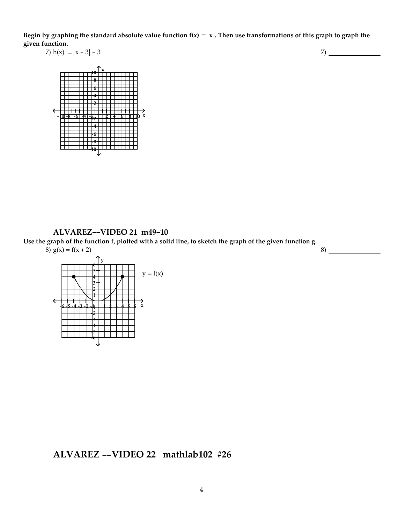Begin by graphing the standard absolute value function  $f(x) = |x|$ . Then use transformations of this graph to graph the **given function.**

7) 
$$
h(x) = |x - 3| - 3
$$

7)



**ALVAREZ--VIDEO 21 m49-10** Use the graph of the function f, plotted with a solid line, to sketch the graph of the given function g. 8)  $g(x) = f(x + 2)$ 8)



**ALVAREZ --VIDEO 22 mathlab102 #26**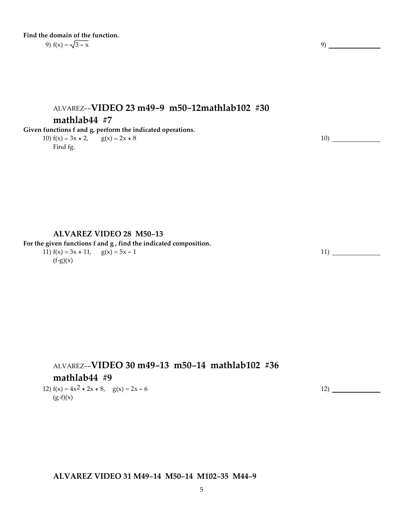### **Find the domain of the function.** 9)  $f(x) = \sqrt{3-x}$  9)

# ALVAREZ--**VIDEO 23 m49-9 m50-12mathlab102 #30 mathlab44** #7

### **Given functions f and g, perform the indicated operations.**

10)  $f(x) = 3x + 2$ ,  $g(x) = 2x + 8$ Find fg.

### **ALVAREZ VIDEO 28 M50-13**

**For the given functions f and g , find the indicated composition.**

11)  $f(x) = 3x + 11$ ,  $g(x) = 5x - 1$  $(f°g)(x)$ 

ALVAREZ--**VIDEO 30 m49-13 m50-14 mathlab102 #36 mathlab44** #9 12)  $f(x) = 4x^2 + 2x + 8$ ,  $g(x) = 2x - 6$ 

 $(g \cdot f)(x)$ 

### **ALVAREZ VIDEO 31 M49-14 M50-14 M102-35 M44-9**

12)

11)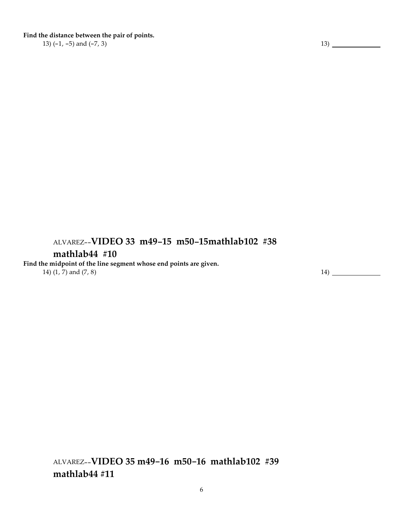**Find the distance between the pair of points.**

13)  $(-1, -5)$  and  $(-7, 3)$  13)

# ALVAREZ--**VIDEO 33 m49-15 m50-15mathlab102 #38**

## **mathlab44 #10**

**Find the midpoint of the line segment whose end points are given.** 14)  $(1, 7)$  and  $(7, 8)$  14) 14)

ALVAREZ--**VIDEO 35 m49-16 m50-16 mathlab102 #39 mathlab44 #11**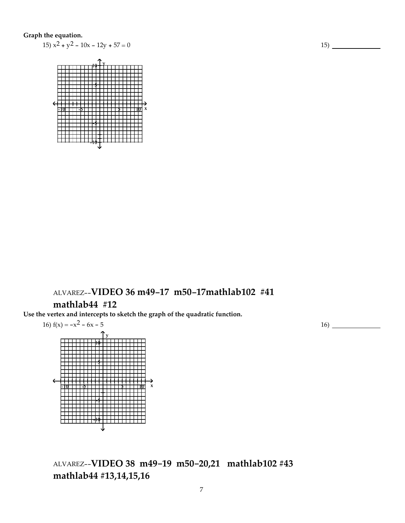### **Graph the equation.**

15)  $x^2 + y^2 - 10x - 12y + 57 = 0$ 



# ALVAREZ--**VIDEO 36 m49-17 m50-17mathlab102 #41 mathlab44 #12**

**Use the vertex and intercepts to sketch the graph of the quadratic function.**



# ALVAREZ--**VIDEO 38 m49-19 m50-20,21 mathlab102 #43 mathlab44 #13,14,15,16**

16)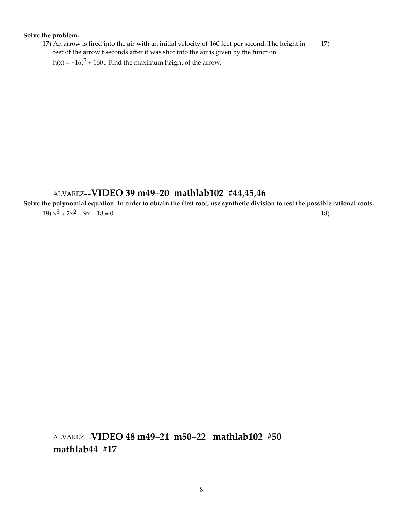#### **Solve the problem.**

17) An arrow is fired into the air with an initial velocity of 160 feet per second. The height in feet of the arrow t seconds after it was shot into the air is given by the function

 $h(x) = -16t^2 + 160t$ . Find the maximum height of the arrow.

## ALVAREZ--**VIDEO 39 m49-20 mathlab102 #44,45,46**

Solve the polynomial equation. In order to obtain the first root, use synthetic division to test the possible rational roots.

 $18) x^3 + 2x^2 - 9x - 18 = 0$  18)

ALVAREZ--**VIDEO 48 m49-21 m50-22 mathlab102 #50 mathlab44 #17**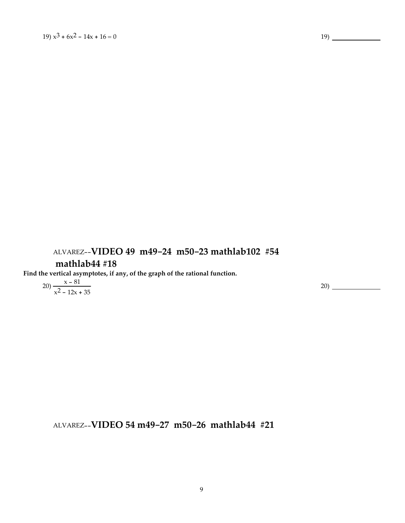# ALVAREZ--**VIDEO 49 m49-24 m50-23 mathlab102 #54**

## **mathlab44 #18**

**Find the vertical asymptotes, if any, of the graph of the rational function.**

$$
20) \frac{x - 81}{x^2 - 12x + 35}
$$

20)

ALVAREZ--**VIDEO 54 m49-27 m50-26 mathlab44 #21**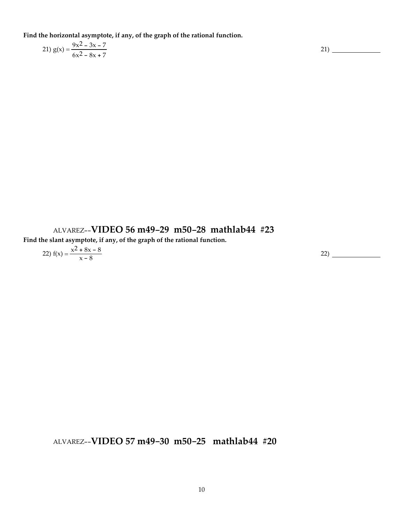**Find the horizontal asymptote, if any, of the graph of the rational function.**

$$
21) g(x) = \frac{9x^2 - 3x - 7}{6x^2 - 8x + 7}
$$

21)

# ALVAREZ--**VIDEO 56 m49-29 m50-28 mathlab44 #23**

**Find the slant asymptote, if any, of the graph of the rational function.**

$$
22) f(x) = \frac{x^2 + 8x - 8}{x - 8}
$$
 (22)

ALVAREZ--**VIDEO 57 m49-30 m50-25 mathlab44 #20**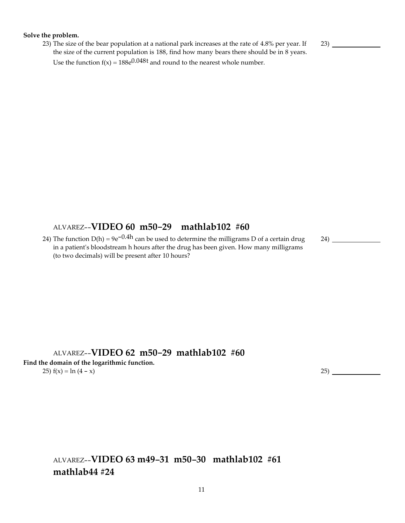#### **Solve the problem.**

23) The size of the bear population at a national park increases at the rate of 4.8% per year. If the size of the current population is 188, find how many bears there should be in 8 years. Use the function  $f(x) = 188e^{0.048t}$  and round to the nearest whole number.

23)

## ALVAREZ--**VIDEO 60 m50-29 mathlab102 #60**

24) The function  $D(h) = 9e^{-0.4h}$  can be used to determine the milligrams D of a certain drug in a patient's bloodstream h hours after the drug has been given. How many milligrams (to two decimals) will be present after 10 hours?

24)

ALVAREZ--**VIDEO 62 m50-29 mathlab102 #60 Find the domain of the logarithmic function.**

25)  $f(x) = \ln(4 - x)$  25)

ALVAREZ--**VIDEO 63 m49-31 m50-30 mathlab102 #61 mathlab44 #24**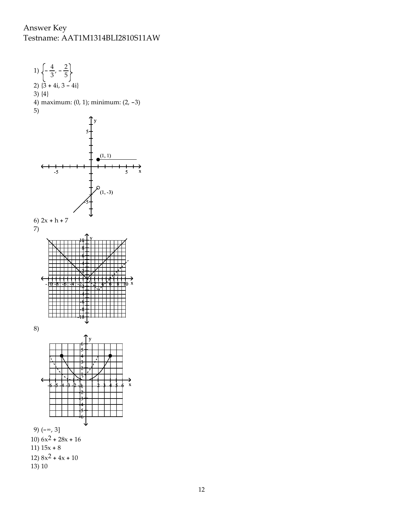## Answer Key Testname: AAT1M1314BLI2810S11AW